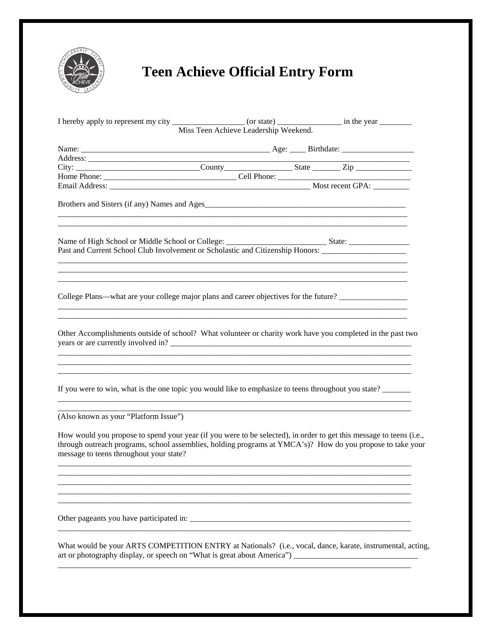

## **Teen Achieve Official Entry Form**

|                                                                                                                                                   | Miss Teen Achieve Leadership Weekend. |                                                                                                                                                                                                                                   |
|---------------------------------------------------------------------------------------------------------------------------------------------------|---------------------------------------|-----------------------------------------------------------------------------------------------------------------------------------------------------------------------------------------------------------------------------------|
|                                                                                                                                                   |                                       |                                                                                                                                                                                                                                   |
|                                                                                                                                                   |                                       |                                                                                                                                                                                                                                   |
| City: __________________________________County______________________State __________Zip ______________________                                    |                                       |                                                                                                                                                                                                                                   |
|                                                                                                                                                   |                                       |                                                                                                                                                                                                                                   |
|                                                                                                                                                   |                                       |                                                                                                                                                                                                                                   |
|                                                                                                                                                   |                                       |                                                                                                                                                                                                                                   |
| Past and Current School Club Involvement or Scholastic and Citizenship Honors: _____________________                                              |                                       |                                                                                                                                                                                                                                   |
| College Plans—what are your college major plans and career objectives for the future?                                                             |                                       | <u> 1989 - Johann Stoff, deutscher Stoff, der Stoff, der Stoff, der Stoff, der Stoff, der Stoff, der Stoff, der S</u>                                                                                                             |
| Other Accomplishments outside of school? What volunteer or charity work have you completed in the past two<br>years or are currently involved in? |                                       |                                                                                                                                                                                                                                   |
| If you were to win, what is the one topic you would like to emphasize to teens throughout you state?                                              |                                       |                                                                                                                                                                                                                                   |
| (Also known as your "Platform Issue")                                                                                                             |                                       |                                                                                                                                                                                                                                   |
| message to teens throughout your state?                                                                                                           |                                       | How would you propose to spend your year (if you were to be selected), in order to get this message to teens (i.e.,<br>through outreach programs, school assemblies, holding programs at YMCA's)? How do you propose to take your |
|                                                                                                                                                   |                                       |                                                                                                                                                                                                                                   |
|                                                                                                                                                   |                                       |                                                                                                                                                                                                                                   |
| What would be your ARTS COMPETITION ENTRY at Nationals? (i.e., vocal, dance, karate, instrumental, acting,                                        |                                       |                                                                                                                                                                                                                                   |